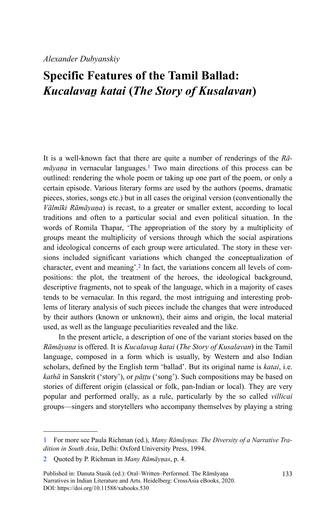## *Alexander Dubyanskiy*

## **Specific Features of the Tamil Ballad:** *Kucalavaṉ katai* **(***The Story of Kusalavan***)**

It is a well-known fact that there are quite a number of renderings of the *Rāmāyaṇa* in vernacular languages.<sup>1</sup> Two main directions of this process can be outlined: rendering the whole poem or taking up one part of the poem, or only a certain episode. Various literary forms are used by the authors (poems, dramatic pieces, stories, songs etc.) but in all cases the original version (conventionally the *Vālmīki Rāmāyaṇa*) is recast, to a greater or smaller extent, according to local traditions and often to a particular social and even political situation. In the words of Romila Thapar, 'The appropriation of the story by a multiplicity of groups meant the multiplicity of versions through which the social aspirations and ideological concerns of each group were articulated. The story in these versions included significant variations which changed the conceptualization of character, event and meaning'.<sup>2</sup> In fact, the variations concern all levels of compositions: the plot, the treatment of the heroes, the ideological background, descriptive fragments, not to speak of the language, which in a majority of cases tends to be vernacular. In this regard, the most intriguing and interesting problems of literary analysis of such pieces include the changes that were introduced by their authors (known or unknown), their aims and origin, the local material used, as well as the language peculiarities revealed and the like.

In the present article, a description of one of the variant stories based on the *Rāmāyaṇa* is offered. It is *Kucalavaṉ katai* (*The Story of Kusalavan*) in the Tamil language, composed in a form which is usually, by Western and also Indian scholars, defined by the English term 'ballad'. But its original name is *katai*, i.e. *kathā* in Sanskrit ('story'), or *pāṭṭu* ('song'). Such compositions may be based on stories of different origin (classical or folk, pan-Indian or local). They are very popular and performed orally, as a rule, particularly by the so called *villicai* groups—singers and storytellers who accompany themselves by playing a string

<sup>1</sup> For more see Paula Richman (ed.), *Many Rāmāyṇas. The Diversity of a Narrative Tradition in South Asia*, Delhi: Oxford University Press, 1994.

<sup>2</sup> Quoted by P. Richman in *Many Rāmāyṇas*, p. 4.

Published in: Danuta Stasik (ed.): Oral–Written–Performed. The Rāmāyaṇa Narratives in Indian Literature and Arts. Heidelberg: CrossAsia eBooks, 2020. DOI:<https://doi.org/10.11588/xabooks.530>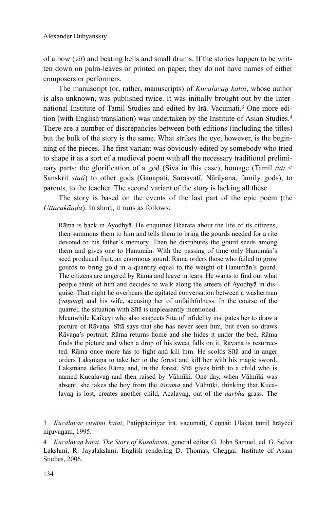of a bow (*vil*) and beating bells and small drums. If the stories happen to be written down on palm-leaves or printed on paper, they do not have names of either composers or performers.

The manuscript (or, rather, manuscripts) of *Kucalavaṉ katai*, whose author is also unknown, was published twice. It was initially brought out by the International Institute of Tamil Studies and edited by Irā. Vacumati.<sup>3</sup> One more edition (with English translation) was undertaken by the Institute of Asian Studies.<sup>4</sup> There are a number of discrepancies between both editions (including the titles) but the bulk of the story is the same. What strikes the eye, however, is the beginning of the pieces. The first variant was obviously edited by somebody who tried to shape it as a sort of a medieval poem with all the necessary traditional preliminary parts: the glorification of a god (Śiva in this case), homage (Tamil *tuti* < Sanskrit *stuti*) to other gods (Gaṇapati, Sarasvatī, Nārāyaṇa, family gods), to parents, to the teacher. The second variant of the story is lacking all these.

The story is based on the events of the last part of the epic poem (the *Uttarakāṇḍa*). In short, it runs as follows:

Rāma is back in Ayodhyā. He enquiries Bharata about the life of its citizens, then summons them to him and tells them to bring the gourds needed for a rite devoted to his father's memory. Then he distributes the gourd seeds among them and gives one to Hanumān. With the passing of time only Hanumān's seed produced fruit, an enormous gourd. Rāma orders those who failed to grow gourds to bring gold in a quantity equal to the weight of Hanumān's gourd. The citizens are angered by Rāma and leave in tears. He wants to find out what people think of him and decides to walk along the streets of Ayodhyā in disguise. That night he overhears the agitated conversation between a washerman (*vaṇṇaṉ*) and his wife, accusing her of unfaithfulness. In the course of the quarrel, the situation with Sītā is unpleasantly mentioned.

Meanwhile Kaikeyī who also suspects Sītā of infidelity instigates her to draw a picture of Rāvaṇa. Sītā says that she has never seen him, but even so draws Rāvaṇa's portrait. Rāma returns home and she hides it under the bed. Rāma finds the picture and when a drop of his sweat falls on it, Rāvaṇa is resurrected. Rāma once more has to fight and kill him. He scolds Sītā and in anger orders Lakṣmaṇa to take her to the forest and kill her with his magic sword. Laksmana defies Rāma and, in the forest, Sītā gives birth to a child who is named Kucalavaṉ and then raised by Vālmīki. One day, when Vālmīki was absent, she takes the boy from the *āśrama* and Vālmīki, thinking that Kucalavan is lost, creates another child, Acalavan, out of the *darbha* grass. The

<sup>3</sup> *Kucalavar cuvāmi katai*, Patippāciriyar irā. vacumati, Ceṉṉai: Ulakat tamiḻ ārāycci niruvanam, 1995.

<sup>4</sup> *Kucalavaṉ katai*. *The Story of Kusalavan*, general editor G. John Samuel, ed. G. Selva Lakshmi, R. Jayalakshmi, English rendering D. Thomas, Chennai: Institute of Asian Studies, 2006.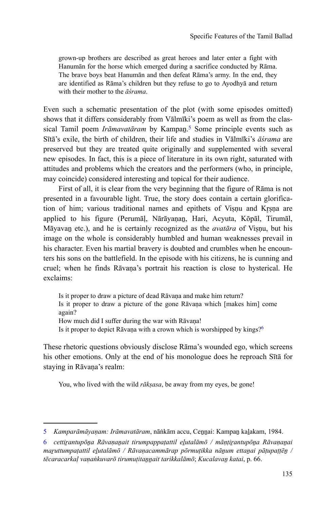grown-up brothers are described as great heroes and later enter a fight with Hanumān for the horse which emerged during a sacrifice conducted by Rāma. The brave boys beat Hanumān and then defeat Rāma's army. In the end, they are identified as Rāma's children but they refuse to go to Ayodhyā and return with their mother to the *āśrama*.

Even such a schematic presentation of the plot (with some episodes omitted) shows that it differs considerably from Vālmīki's poem as well as from the classical Tamil poem *Irāmavatāram* by Kampaṉ.<sup>5</sup> Some principle events such as Sītā's exile, the birth of children, their life and studies in Vālmīki's *āśrama* are preserved but they are treated quite originally and supplemented with several new episodes. In fact, this is a piece of literature in its own right, saturated with attitudes and problems which the creators and the performers (who, in principle, may coincide) considered interesting and topical for their audience.

First of all, it is clear from the very beginning that the figure of Rāma is not presented in a favourable light. True, the story does contain a certain glorification of him; various traditional names and epithets of Visnu and Krsna are applied to his figure (Perumāḷ, Nārāyaṇaṉ, Hari, Acyuta, Kōpāl, Tirumāl, Māyavaṉ etc.), and he is certainly recognized as the *avatāra* of Viṣṇu, but his image on the whole is considerably humbled and human weaknesses prevail in his character. Even his martial bravery is doubted and crumbles when he encounters his sons on the battlefield. In the episode with his citizens, he is cunning and cruel; when he finds Rāvaṇa's portrait his reaction is close to hysterical. He exclaims:

Is it proper to draw a picture of dead Rāvaṇa and make him return? Is it proper to draw a picture of the gone Rāvaṇa which [makes him] come again? How much did I suffer during the war with Rāvana! Is it proper to depict Rāvana with a crown which is worshipped by kings?<sup>6</sup>

These rhetoric questions obviously disclose Rāma's wounded ego, which screens his other emotions. Only at the end of his monologue does he reproach Sītā for staying in Rāvana's realm:

You, who lived with the wild *rākṣasa*, be away from my eyes, be gone!

<sup>5</sup> *Kamparāmāyaṇam: Irāmavatāram*, nāṅkām accu, Ceṉṉai: Kampaṉ kaḻakam, 1984.

<sup>6</sup> *cettiṟantupōṉa Rāvaṇaṉait tirumpappaṭattil eḻutalāmō / māṇṭiṟantupōṉa Rāvaṇaṉai maṟuttumpaṭattil eḻutalāmō / Rāvaṇacammārap pōrmuṭikka nāṉum ettaṉai pāṭupaṭṭēṉ / tēcaracarkaḷ vaṇaṅkuvarō tirumuṭitaṉṉait tarikkalāmō*; *Kucalavaṉ katai*, p. 66.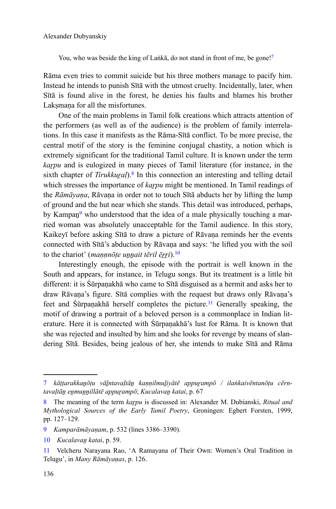You, who was beside the king of Laṅkā, do not stand in front of me, be gone!<sup>7</sup>

Rāma even tries to commit suicide but his three mothers manage to pacify him. Instead he intends to punish Sītā with the utmost cruelty. Incidentally, later, when Sītā is found alive in the forest, he denies his faults and blames his brother Laksmana for all the misfortunes.

One of the main problems in Tamil folk creations which attracts attention of the performers (as well as of the audience) is the problem of family interrelations. In this case it manifests as the Rāma-Sītā conflict. To be more precise, the central motif of the story is the feminine conjugal chastity, a notion which is extremely significant for the traditional Tamil culture. It is known under the term *karpu* and is eulogized in many pieces of Tamil literature (for instance, in the sixth chapter of *Tirukkural*).<sup>8</sup> In this connection an interesting and telling detail which stresses the importance of *karpu* might be mentioned. In Tamil readings of the *Rāmāyaṇa*, Rāvaṇa in order not to touch Sītā abducts her by lifting the lump of ground and the hut near which she stands. This detail was introduced, perhaps, by Kampan<sup>9</sup> who understood that the idea of a male physically touching a married woman was absolutely unacceptable for the Tamil audience. In this story, Kaikeyī before asking Sītā to draw a picture of Rāvana reminds her the events connected with Sītā's abduction by Rāvaṇa and says: 'he lifted you with the soil to the chariot' (*mannote unnait tēril ērri*).<sup>10</sup>

Interestingly enough, the episode with the portrait is well known in the South and appears, for instance, in Telugu songs. But its treatment is a little bit different: it is Śūrpaṇakhā who came to Sītā disguised as a hermit and asks her to draw Rāvaṇa's figure. Sītā complies with the request but draws only Rāvaṇa's feet and Śūrpaṇakhā herself completes the picture.<sup>11</sup> Generally speaking, the motif of drawing a portrait of a beloved person is a commonplace in Indian literature. Here it is connected with Śūrpaṇakhā's lust for Rāma. It is known that she was rejected and insulted by him and she looks for revenge by means of slandering Sītā. Besides, being jealous of her, she intends to make Sītā and Rāma

<sup>7</sup> *kāṭṭarakkaṉōṭu vāḻntavaḷtāṉ kaṇṇilmuḻiyātē appuṟampō / ilaṅkaivēntanōṭu cērntavaḷtāṉ eṉmuṉṉillātē appuṟampō*; *Kucalavaṉ katai*, p. 67

<sup>8</sup> The meaning of the term *kaṟpu* is discussed in: Alexander M. Dubianski, *Ritual and Mythological Sources of the Early Tamil Poetry*, Groningen: Egbert Forsten, 1999, pp. 127–129.

<sup>9</sup> *Kamparāmāyaṇam*, p. 532 (lines 3386–3390).

<sup>10</sup> *Kucalavaṉ katai*, p. 59.

<sup>11</sup> Velcheru Narayana Rao, 'A Ramayana of Their Own: Women's Oral Tradition in Telugu', in *Many Rāmāyaṇas*, p. 126.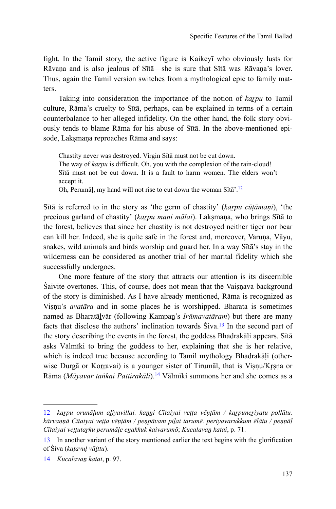fight. In the Tamil story, the active figure is Kaikeyī who obviously lusts for Rāvaṇa and is also jealous of Sītā—she is sure that Sītā was Rāvaṇa's lover. Thus, again the Tamil version switches from a mythological epic to family matters.

Taking into consideration the importance of the notion of *karpu* to Tamil culture, Rāma's cruelty to Sītā, perhaps, can be explained in terms of a certain counterbalance to her alleged infidelity. On the other hand, the folk story obviously tends to blame Rāma for his abuse of Sītā. In the above-mentioned episode, Laksmana reproaches Rāma and says:

Chastity never was destroyed. Virgin Sītā must not be cut down. The way of *karpu* is difficult. Oh, you with the complexion of the rain-cloud! Sītā must not be cut down. It is a fault to harm women. The elders won't accept it.

Oh, Perumāḷ, my hand will not rise to cut down the woman Sītā'.<sup>12</sup>

Sītā is referred to in the story as 'the germ of chastity' (*kaṟpu cūṭāmaṇi*), 'the precious garland of chastity' (*kaṟpu maṇi mālai*). Lakṣmaṇa, who brings Sītā to the forest, believes that since her chastity is not destroyed neither tiger nor bear can kill her. Indeed, she is quite safe in the forest and, moreover, Varuṇa, Vāyu, snakes, wild animals and birds worship and guard her. In a way Sītā's stay in the wilderness can be considered as another trial of her marital fidelity which she successfully undergoes.

One more feature of the story that attracts our attention is its discernible Śaivite overtones. This, of course, does not mean that the Vaiṣṇava background of the story is diminished. As I have already mentioned, Rāma is recognized as Viṣṇu's *avatāra* and in some places he is worshipped. Bharata is sometimes named as Bharatāḻvār (following Kampaṉ's *Irāmavatāram*) but there are many facts that disclose the authors' inclination towards  $\text{Siva}.^{13}$  In the second part of the story describing the events in the forest, the goddess Bhadrakāḷi appears. Sītā asks Vālmīki to bring the goddess to her, explaining that she is her relative, which is indeed true because according to Tamil mythology Bhadrakāļi (otherwise Durgā or Korravai) is a younger sister of Tirumāl, that is Viṣṇu/Kr̥ṣṇa or Rāma (*Māyavar taṅkai Pattirakāli*).<sup>14</sup> Vālmīki summons her and she comes as a

<sup>12</sup> *kaṟpu orunāḷum aḻiyavillai. kaṉṉi Cītaiyai veṭṭa vēṇṭām / kaṟpuneṟiyatu pollātu. kārvaṇṇā Cītaiyai veṭṭa vēṇṭām / peṇpāvam piḻai tarumē. periyavarukkum ēlātu / peṇṇāḷ Cītaiyai veṭṭutaṟku perumāḷe eṉakkuk kaivarumō*; *Kucalavaṉ katai*, p. 71.

<sup>13</sup> In another variant of the story mentioned earlier the text begins with the glorification of Śiva (*kaṭavuḷ vāḻttu*).

<sup>14</sup> *Kucalavaṉ katai*, p. 97.